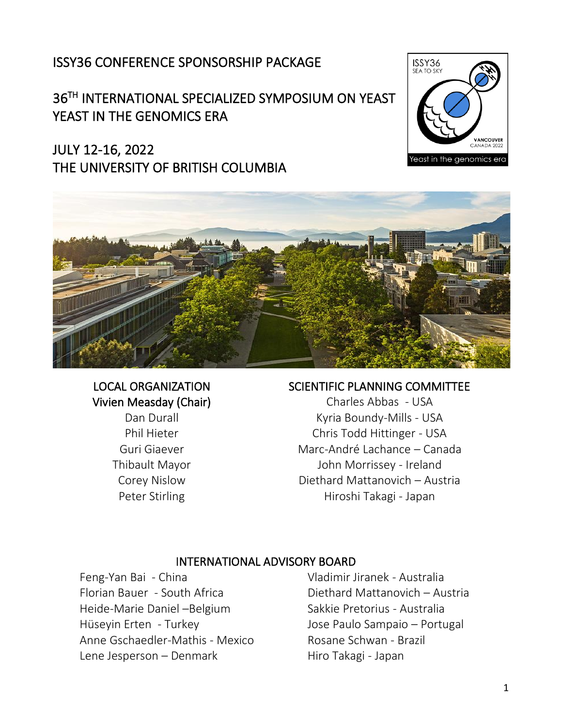### ISSY36 CONFERENCE SPONSORSHIP PACKAGE

### 36TH INTERNATIONAL SPECIALIZED SYMPOSIUM ON YEAST YEAST IN THE GENOMICS ERA

### JULY 12-16, 2022 THE UNIVERSITY OF BRITISH COLUMBIA





#### LOCAL ORGANIZATION Vivien Measday (Chair)

Dan Durall Phil Hieter Guri Giaever Thibault Mayor Corey Nislow Peter Stirling

#### SCIENTIFIC PLANNING COMMITTEE

Charles Abbas - USA Kyria Boundy-Mills - USA Chris Todd Hittinger - USA Marc-André Lachance – Canada John Morrissey - Ireland Diethard Mattanovich – Austria Hiroshi Takagi - Japan

#### INTERNATIONAL ADVISORY BOARD

Feng-Yan Bai - China Florian Bauer - South Africa Heide-Marie Daniel –Belgium Hüseyin Erten - Turkey Anne Gschaedler-Mathis - Mexico Lene Jesperson – Denmark

Vladimir Jiranek - Australia Diethard Mattanovich – Austria Sakkie Pretorius - Australia Jose Paulo Sampaio – Portugal Rosane Schwan - Brazil Hiro Takagi - Japan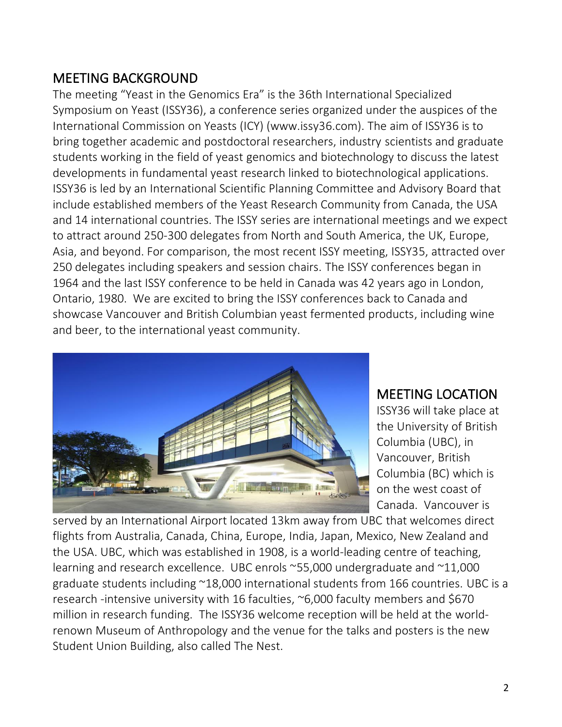### MEETING BACKGROUND

The meeting "Yeast in the Genomics Era" is the 36th International Specialized Symposium on Yeast (ISSY36), a conference series organized under the auspices of the International Commission on Yeasts (ICY) (www.issy36.com). The aim of ISSY36 is to bring together academic and postdoctoral researchers, industry scientists and graduate students working in the field of yeast genomics and biotechnology to discuss the latest developments in fundamental yeast research linked to biotechnological applications. ISSY36 is led by an International Scientific Planning Committee and Advisory Board that include established members of the Yeast Research Community from Canada, the USA and 14 international countries. The ISSY series are international meetings and we expect to attract around 250-300 delegates from North and South America, the UK, Europe, Asia, and beyond. For comparison, the most recent ISSY meeting, ISSY35, attracted over 250 delegates including speakers and session chairs. The ISSY conferences began in 1964 and the last ISSY conference to be held in Canada was 42 years ago in London, Ontario, 1980. We are excited to bring the ISSY conferences back to Canada and showcase Vancouver and British Columbian yeast fermented products, including wine and beer, to the international yeast community.



### MEETING LOCATION

ISSY36 will take place at the University of British Columbia (UBC), in Vancouver, British Columbia (BC) which is on the west coast of Canada. Vancouver is

served by an International Airport located 13km away from UBC that welcomes direct flights from Australia, Canada, China, Europe, India, Japan, Mexico, New Zealand and the USA. UBC, which was established in 1908, is a world-leading centre of teaching, learning and research excellence. UBC enrols ~55,000 undergraduate and ~11,000 graduate students including ~18,000 international students from 166 countries. UBC is a research -intensive university with 16 faculties, ~6,000 faculty members and \$670 million in research funding. The ISSY36 welcome reception will be held at the worldrenown Museum of Anthropology and the venue for the talks and posters is the new Student Union Building, also called The Nest.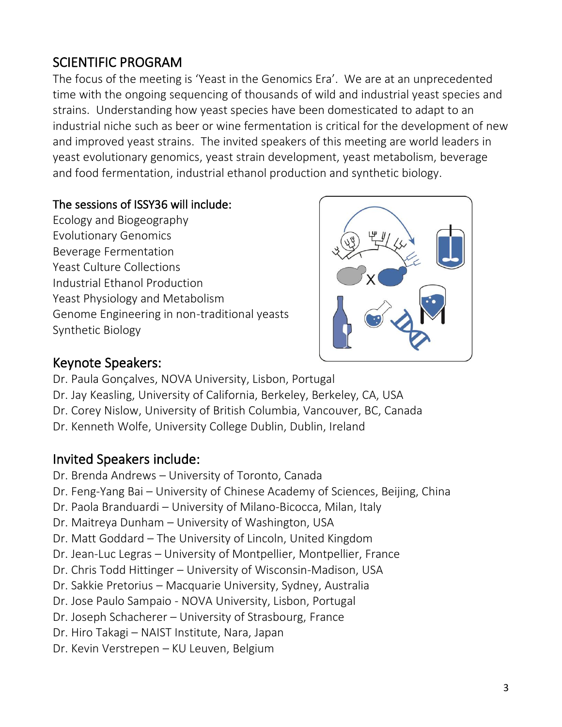# SCIENTIFIC PROGRAM

The focus of the meeting is 'Yeast in the Genomics Era'. We are at an unprecedented time with the ongoing sequencing of thousands of wild and industrial yeast species and strains. Understanding how yeast species have been domesticated to adapt to an industrial niche such as beer or wine fermentation is critical for the development of new and improved yeast strains. The invited speakers of this meeting are world leaders in yeast evolutionary genomics, yeast strain development, yeast metabolism, beverage and food fermentation, industrial ethanol production and synthetic biology.

### The sessions of ISSY36 will include:

Ecology and Biogeography Evolutionary Genomics Beverage Fermentation Yeast Culture Collections Industrial Ethanol Production Yeast Physiology and Metabolism Genome Engineering in non-traditional yeasts Synthetic Biology



### Keynote Speakers:

- Dr. Paula Gonçalves, NOVA University, Lisbon, Portugal
- Dr. Jay Keasling, University of California, Berkeley, Berkeley, CA, USA
- Dr. Corey Nislow, University of British Columbia, Vancouver, BC, Canada
- Dr. Kenneth Wolfe, University College Dublin, Dublin, Ireland

## Invited Speakers include:

- Dr. Brenda Andrews University of Toronto, Canada
- Dr. Feng-Yang Bai University of Chinese Academy of Sciences, Beijing, China
- Dr. Paola Branduardi University of Milano-Bicocca, Milan, Italy
- Dr. Maitreya Dunham University of Washington, USA
- Dr. Matt Goddard The University of Lincoln, United Kingdom
- Dr. Jean-Luc Legras University of Montpellier, Montpellier, France
- Dr. Chris Todd Hittinger University of Wisconsin-Madison, USA
- Dr. Sakkie Pretorius Macquarie University, Sydney, Australia
- Dr. Jose Paulo Sampaio NOVA University, Lisbon, Portugal
- Dr. Joseph Schacherer University of Strasbourg, France
- Dr. Hiro Takagi NAIST Institute, Nara, Japan
- Dr. Kevin Verstrepen KU Leuven, Belgium